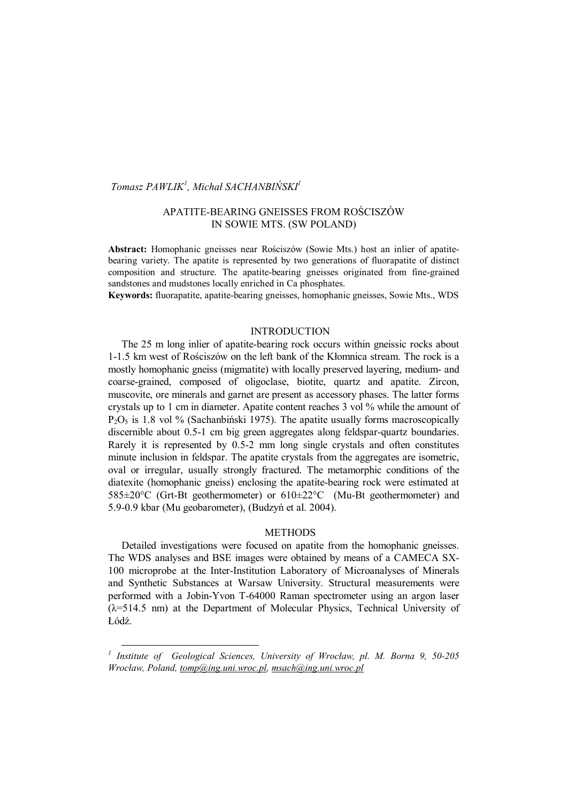# *Tomasz PAWLIK<sup>1</sup> , Michał SACHANBIŃSKI1*

# APATITE-BEARING GNEISSES FROM ROŚCISZÓW IN SOWIE MTS. (SW POLAND)

**Abstract:** Homophanic gneisses near Rościszów (Sowie Mts.) host an inlier of apatitebearing variety. The apatite is represented by two generations of fluorapatite of distinct composition and structure. The apatite-bearing gneisses originated from fine-grained sandstones and mudstones locally enriched in Ca phosphates.

**Keywords:** fluorapatite, apatite-bearing gneisses, homophanic gneisses, Sowie Mts., WDS

## **INTRODUCTION**

The 25 m long inlier of apatite-bearing rock occurs within gneissic rocks about 1-1.5 km west of Rościszów on the left bank of the Kłomnica stream. The rock is a mostly homophanic gneiss (migmatite) with locally preserved layering, medium- and coarse-grained, composed of oligoclase, biotite, quartz and apatite. Zircon, muscovite, ore minerals and garnet are present as accessory phases. The latter forms crystals up to 1 cm in diameter. Apatite content reaches 3 vol % while the amount of  $P_2O_5$  is 1.8 vol % (Sachanbiński 1975). The apatite usually forms macroscopically discernible about 0.5-1 cm big green aggregates along feldspar-quartz boundaries. Rarely it is represented by 0.5-2 mm long single crystals and often constitutes minute inclusion in feldspar. The apatite crystals from the aggregates are isometric, oval or irregular, usually strongly fractured. The metamorphic conditions of the diatexite (homophanic gneiss) enclosing the apatite-bearing rock were estimated at 585±20°C (Grt-Bt geothermometer) or 610±22°C (Mu-Bt geothermometer) and 5.9-0.9 kbar (Mu geobarometer), (Budzyń et al. 2004).

#### METHODS

Detailed investigations were focused on apatite from the homophanic gneisses. The WDS analyses and BSE images were obtained by means of a CAMECA SX-100 microprobe at the Inter-Institution Laboratory of Microanalyses of Minerals and Synthetic Substances at Warsaw University. Structural measurements were performed with a Jobin-Yvon T-64000 Raman spectrometer using an argon laser (λ=514.5 nm) at the Department of Molecular Physics, Technical University of Łódź.

l

*<sup>1</sup> Institute of Geological Sciences, University of Wrocław, pl. M. Borna 9, 50-205 Wrocław, Poland, tomp@ing.uni.wroc.pl, msach@ing.uni.wroc.pl*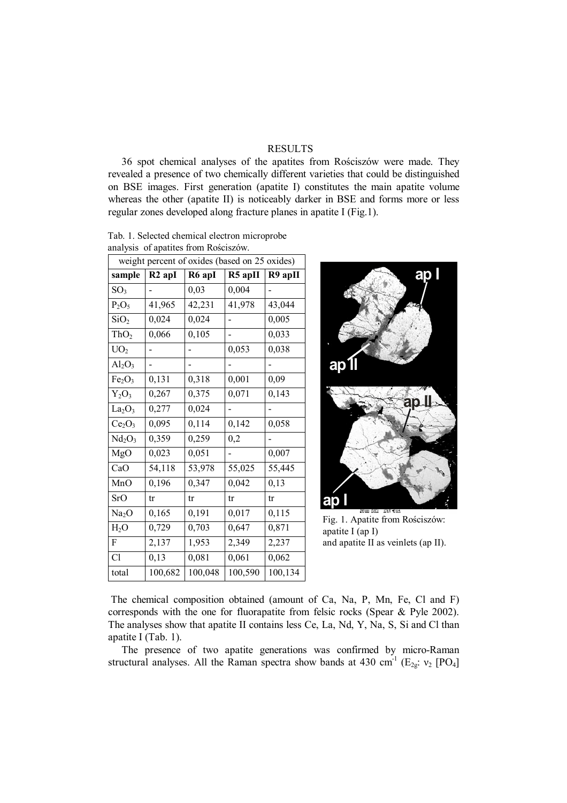## RESULTS

36 spot chemical analyses of the apatites from Rościszów were made. They revealed a presence of two chemically different varieties that could be distinguished on BSE images. First generation (apatite I) constitutes the main apatite volume whereas the other (apatite II) is noticeably darker in BSE and forms more or less regular zones developed along fracture planes in apatite I (Fig.1).

 Tab. 1. Selected chemical electron microprobe analysis of apatites from Rościszów.

| weight percent of oxides (based on 25 oxides) |                      |         |         |         |
|-----------------------------------------------|----------------------|---------|---------|---------|
| sample                                        | $R2$ apI             | R6 apI  | R5 apII | R9 apII |
| SO <sub>3</sub>                               |                      | 0,03    | 0,004   |         |
| $P_2O_5$                                      | 41,965               | 42,231  | 41,978  | 43,044  |
| SiO <sub>2</sub>                              | 0,024                | 0,024   |         | 0,005   |
| ThO <sub>2</sub>                              | 0,066                | 0,105   |         | 0,033   |
| UO <sub>2</sub>                               |                      |         | 0,053   | 0,038   |
| $Al_2O_3$                                     |                      |         |         |         |
| Fe <sub>2</sub> O <sub>3</sub>                | 0,131                | 0,318   | 0,001   | 0,09    |
| $Y_2O_3$                                      | 0,267                | 0,375   | 0,071   | 0,143   |
| La <sub>2</sub> O <sub>3</sub>                | 0,277                | 0,024   |         |         |
| Ce <sub>2</sub> O <sub>3</sub>                | 0,095                | 0,114   | 0,142   | 0,058   |
| Nd <sub>2</sub> O <sub>3</sub>                | 0,359                | 0,259   | 0,2     |         |
| MgO                                           | 0,023                | 0,051   |         | 0,007   |
| CaO                                           | $\overline{5}4, 118$ | 53,978  | 55,025  | 55,445  |
| MnO                                           | 0,196                | 0,347   | 0,042   | 0,13    |
| <b>SrO</b>                                    | tr                   | tr      | tr      | tr      |
| Na <sub>2</sub> O                             | 0,165                | 0,191   | 0,017   | 0,115   |
| H <sub>2</sub> O                              | 0,729                | 0,703   | 0,647   | 0,871   |
| F                                             | 2,137                | 1,953   | 2,349   | 2,237   |
| Cl                                            | 0,13                 | 0,081   | 0,061   | 0,062   |
| total                                         | 100,682              | 100,048 | 100,590 | 100,134 |



Fig. 1. Apatite from Rościszów: apatite I (ap I) and apatite II as veinlets (ap II).

The chemical composition obtained (amount of Ca, Na, P, Mn, Fe, Cl and F) corresponds with the one for fluorapatite from felsic rocks (Spear & Pyle 2002). The analyses show that apatite II contains less Ce, La, Nd, Y, Na, S, Si and Cl than apatite I (Tab. 1).

The presence of two apatite generations was confirmed by micro-Raman structural analyses. All the Raman spectra show bands at 430 cm<sup>-1</sup> ( $E_{2g}: v_2$  [PO<sub>4</sub>]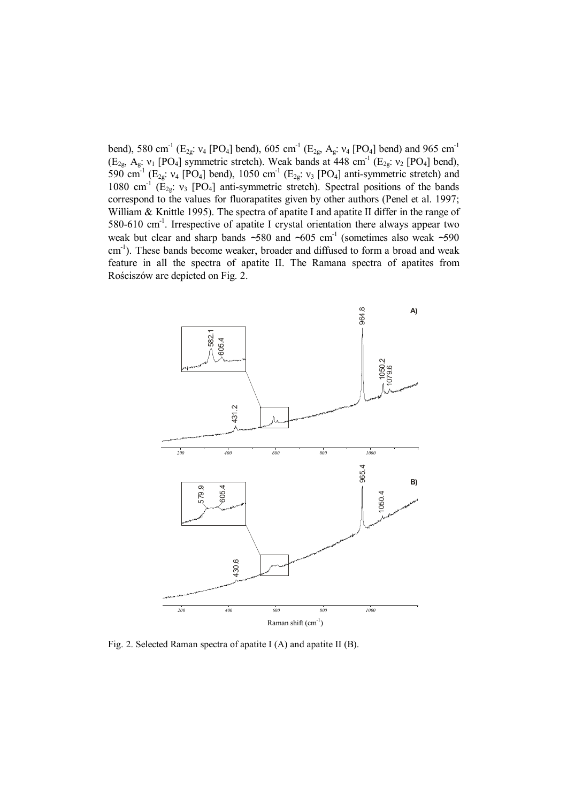bend), 580 cm<sup>-1</sup> (E<sub>2g</sub>: ν<sub>4</sub> [PO<sub>4</sub>] bend), 605 cm<sup>-1</sup> (E<sub>2g</sub>, A<sub>g</sub>: ν<sub>4</sub> [PO<sub>4</sub>] bend) and 965 cm<sup>-1</sup>  $(E_{2g}, A_g: v_1$  [PO<sub>4</sub>] symmetric stretch). Weak bands at 448 cm<sup>-1</sup> (E<sub>2g</sub>:  $v_2$  [PO<sub>4</sub>] bend), 590 cm<sup>-1</sup> (E<sub>2g</sub>:  $v_4$  [PO<sub>4</sub>] bend), 1050 cm<sup>-1</sup> (E<sub>2g</sub>:  $v_3$  [PO<sub>4</sub>] anti-symmetric stretch) and 1080 cm<sup>-1</sup> ( $E_{2g}$ :  $v_3$  [PO<sub>4</sub>] anti-symmetric stretch). Spectral positions of the bands correspond to the values for fluorapatites given by other authors (Penel et al. 1997; William & Knittle 1995). The spectra of apatite I and apatite II differ in the range of 580-610 cm-1. Irrespective of apatite I crystal orientation there always appear two weak but clear and sharp bands ~580 and ~605 cm<sup>-1</sup> (sometimes also weak ~590 cm<sup>-1</sup>). These bands become weaker, broader and diffused to form a broad and weak feature in all the spectra of apatite II. The Ramana spectra of apatites from Rościszów are depicted on Fig. 2.



Fig. 2. Selected Raman spectra of apatite I (A) and apatite II (B).